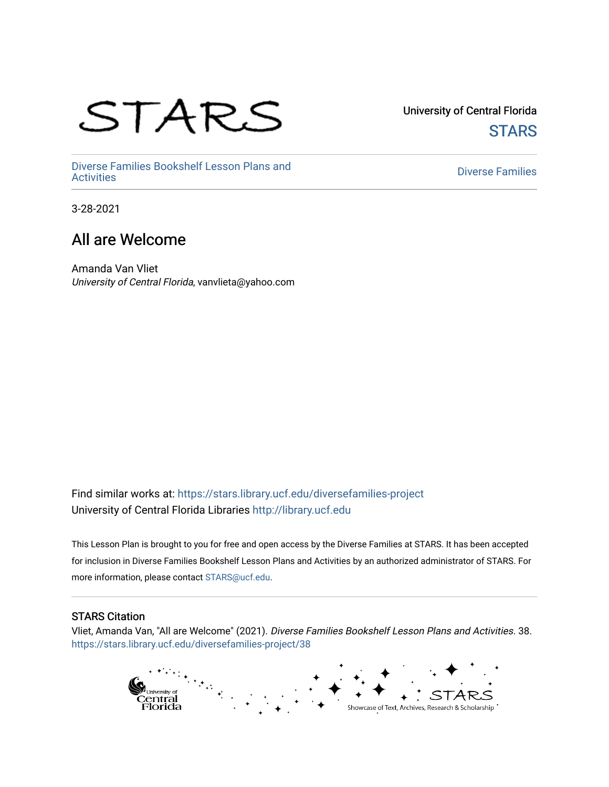# STARS

University of Central Florida **STARS** 

[Diverse Families Bookshelf Lesson Plans and](https://stars.library.ucf.edu/diversefamilies-project)  [Diverse Families](https://stars.library.ucf.edu/diversefamilies) Dooksherr Lesson Frans and Theorem Controller Chinese Families<br>Activities

3-28-2021

#### All are Welcome

Amanda Van Vliet University of Central Florida, vanvlieta@yahoo.com

Find similar works at: <https://stars.library.ucf.edu/diversefamilies-project> University of Central Florida Libraries [http://library.ucf.edu](http://library.ucf.edu/) 

This Lesson Plan is brought to you for free and open access by the Diverse Families at STARS. It has been accepted for inclusion in Diverse Families Bookshelf Lesson Plans and Activities by an authorized administrator of STARS. For more information, please contact [STARS@ucf.edu.](mailto:STARS@ucf.edu)

#### STARS Citation

Vliet, Amanda Van, "All are Welcome" (2021). Diverse Families Bookshelf Lesson Plans and Activities. 38. [https://stars.library.ucf.edu/diversefamilies-project/38](https://stars.library.ucf.edu/diversefamilies-project/38?utm_source=stars.library.ucf.edu%2Fdiversefamilies-project%2F38&utm_medium=PDF&utm_campaign=PDFCoverPages) 

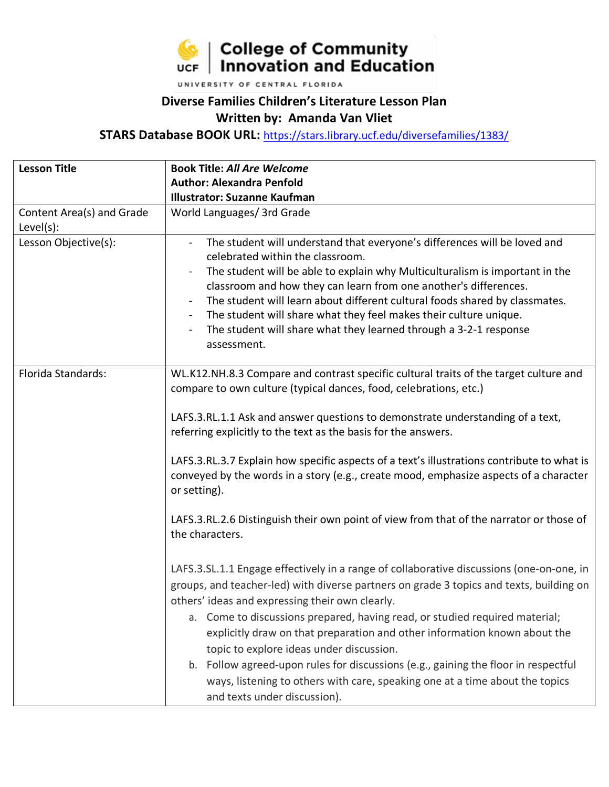

UNIVERSITY OF CENTRAL FLORIDA

#### **Diverse Families Children's Literature Lesson Plan Written by: Amanda Van Vliet**

**STARS Database BOOK URL:** <https://stars.library.ucf.edu/diversefamilies/1383/>

| <b>Lesson Title</b>       | <b>Book Title: All Are Welcome</b>                                                                                                               |  |  |  |
|---------------------------|--------------------------------------------------------------------------------------------------------------------------------------------------|--|--|--|
|                           | <b>Author: Alexandra Penfold</b>                                                                                                                 |  |  |  |
|                           | <b>Illustrator: Suzanne Kaufman</b>                                                                                                              |  |  |  |
| Content Area(s) and Grade | World Languages/ 3rd Grade                                                                                                                       |  |  |  |
| $Level(s)$ :              |                                                                                                                                                  |  |  |  |
| Lesson Objective(s):      | The student will understand that everyone's differences will be loved and                                                                        |  |  |  |
|                           | celebrated within the classroom.                                                                                                                 |  |  |  |
|                           | The student will be able to explain why Multiculturalism is important in the                                                                     |  |  |  |
|                           | classroom and how they can learn from one another's differences.                                                                                 |  |  |  |
|                           | The student will learn about different cultural foods shared by classmates.                                                                      |  |  |  |
|                           | The student will share what they feel makes their culture unique.<br>$\overline{\phantom{a}}$                                                    |  |  |  |
|                           | The student will share what they learned through a 3-2-1 response                                                                                |  |  |  |
|                           | assessment.                                                                                                                                      |  |  |  |
|                           |                                                                                                                                                  |  |  |  |
| Florida Standards:        | WL.K12.NH.8.3 Compare and contrast specific cultural traits of the target culture and                                                            |  |  |  |
|                           | compare to own culture (typical dances, food, celebrations, etc.)                                                                                |  |  |  |
|                           |                                                                                                                                                  |  |  |  |
|                           | LAFS.3.RL.1.1 Ask and answer questions to demonstrate understanding of a text,<br>referring explicitly to the text as the basis for the answers. |  |  |  |
|                           |                                                                                                                                                  |  |  |  |
|                           | LAFS.3.RL.3.7 Explain how specific aspects of a text's illustrations contribute to what is                                                       |  |  |  |
|                           | conveyed by the words in a story (e.g., create mood, emphasize aspects of a character                                                            |  |  |  |
|                           | or setting).                                                                                                                                     |  |  |  |
|                           |                                                                                                                                                  |  |  |  |
|                           | LAFS.3.RL.2.6 Distinguish their own point of view from that of the narrator or those of                                                          |  |  |  |
|                           | the characters.                                                                                                                                  |  |  |  |
|                           |                                                                                                                                                  |  |  |  |
|                           | LAFS.3.SL.1.1 Engage effectively in a range of collaborative discussions (one-on-one, in                                                         |  |  |  |
|                           | groups, and teacher-led) with diverse partners on grade 3 topics and texts, building on                                                          |  |  |  |
|                           | others' ideas and expressing their own clearly.                                                                                                  |  |  |  |
|                           |                                                                                                                                                  |  |  |  |
|                           | Come to discussions prepared, having read, or studied required material;<br>а.                                                                   |  |  |  |
|                           | explicitly draw on that preparation and other information known about the                                                                        |  |  |  |
|                           | topic to explore ideas under discussion.                                                                                                         |  |  |  |
|                           | b. Follow agreed-upon rules for discussions (e.g., gaining the floor in respectful                                                               |  |  |  |
|                           | ways, listening to others with care, speaking one at a time about the topics                                                                     |  |  |  |
|                           | and texts under discussion).                                                                                                                     |  |  |  |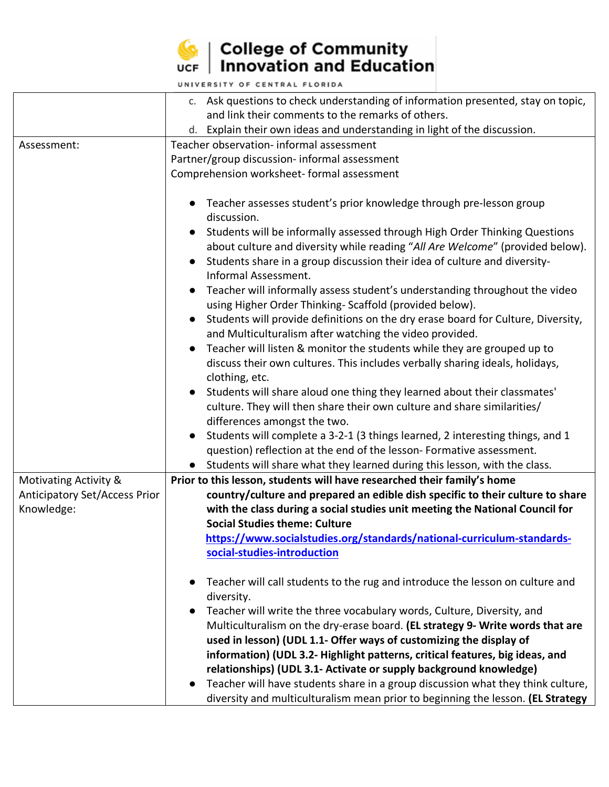

## $\left|\frac{1}{\sqrt{2}}\right|$  College of Community<br>UCF | Innovation and Education

|                                      | c. Ask questions to check understanding of information presented, stay on topic,                                                                        |  |
|--------------------------------------|---------------------------------------------------------------------------------------------------------------------------------------------------------|--|
|                                      | and link their comments to the remarks of others.                                                                                                       |  |
|                                      | d. Explain their own ideas and understanding in light of the discussion.                                                                                |  |
| Assessment:                          | Teacher observation- informal assessment                                                                                                                |  |
|                                      | Partner/group discussion- informal assessment                                                                                                           |  |
|                                      | Comprehension worksheet- formal assessment                                                                                                              |  |
|                                      |                                                                                                                                                         |  |
|                                      | Teacher assesses student's prior knowledge through pre-lesson group                                                                                     |  |
|                                      | discussion.                                                                                                                                             |  |
|                                      | Students will be informally assessed through High Order Thinking Questions                                                                              |  |
|                                      | about culture and diversity while reading "All Are Welcome" (provided below).                                                                           |  |
|                                      | Students share in a group discussion their idea of culture and diversity-                                                                               |  |
|                                      | Informal Assessment.                                                                                                                                    |  |
|                                      | Teacher will informally assess student's understanding throughout the video                                                                             |  |
|                                      | using Higher Order Thinking-Scaffold (provided below).                                                                                                  |  |
|                                      | Students will provide definitions on the dry erase board for Culture, Diversity,                                                                        |  |
|                                      | and Multiculturalism after watching the video provided.                                                                                                 |  |
|                                      | Teacher will listen & monitor the students while they are grouped up to                                                                                 |  |
|                                      | discuss their own cultures. This includes verbally sharing ideals, holidays,                                                                            |  |
|                                      | clothing, etc.                                                                                                                                          |  |
|                                      | Students will share aloud one thing they learned about their classmates'                                                                                |  |
|                                      | culture. They will then share their own culture and share similarities/                                                                                 |  |
|                                      | differences amongst the two.                                                                                                                            |  |
|                                      | Students will complete a 3-2-1 (3 things learned, 2 interesting things, and 1                                                                           |  |
|                                      | question) reflection at the end of the lesson- Formative assessment.                                                                                    |  |
|                                      | • Students will share what they learned during this lesson, with the class.                                                                             |  |
| Motivating Activity &                | Prior to this lesson, students will have researched their family's home                                                                                 |  |
| <b>Anticipatory Set/Access Prior</b> | country/culture and prepared an edible dish specific to their culture to share                                                                          |  |
| Knowledge:                           | with the class during a social studies unit meeting the National Council for                                                                            |  |
|                                      | <b>Social Studies theme: Culture</b>                                                                                                                    |  |
|                                      | https://www.socialstudies.org/standards/national-curriculum-standards-                                                                                  |  |
|                                      | social-studies-introduction                                                                                                                             |  |
|                                      |                                                                                                                                                         |  |
|                                      | Teacher will call students to the rug and introduce the lesson on culture and                                                                           |  |
|                                      | diversity.                                                                                                                                              |  |
|                                      | Teacher will write the three vocabulary words, Culture, Diversity, and<br>Multiculturalism on the dry-erase board. (EL strategy 9- Write words that are |  |
|                                      | used in lesson) (UDL 1.1- Offer ways of customizing the display of                                                                                      |  |
|                                      | information) (UDL 3.2- Highlight patterns, critical features, big ideas, and                                                                            |  |
|                                      | relationships) (UDL 3.1- Activate or supply background knowledge)                                                                                       |  |
|                                      | Teacher will have students share in a group discussion what they think culture,<br>$\bullet$                                                            |  |
|                                      | diversity and multiculturalism mean prior to beginning the lesson. (EL Strategy                                                                         |  |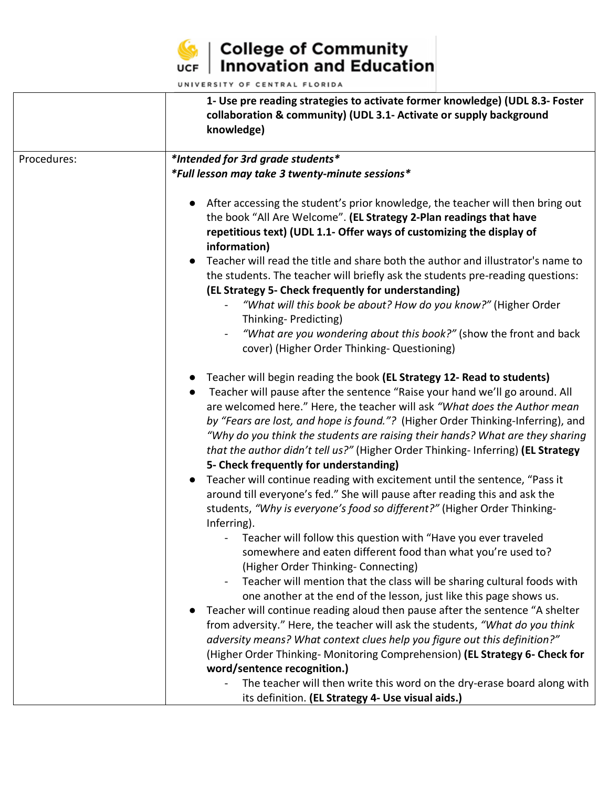

### $\left|\frac{1}{\sqrt{2}}\right|$  College of Community<br>UCF | Innovation and Education

|             | 1- Use pre reading strategies to activate former knowledge) (UDL 8.3- Foster<br>collaboration & community) (UDL 3.1- Activate or supply background<br>knowledge)                                                                                                                                                                                                                                                                                                                                                                                                                                                                                                                                                                                                                                                                                                                                                                                                                                                                                                                                                                                                                                                                                                                                                                                                                                                                                                                                                                                                                                                                                                                                                                                                                                                                                                                                                                                                                                                                                                                                                                                                                                                                                                                                                                                                                 |
|-------------|----------------------------------------------------------------------------------------------------------------------------------------------------------------------------------------------------------------------------------------------------------------------------------------------------------------------------------------------------------------------------------------------------------------------------------------------------------------------------------------------------------------------------------------------------------------------------------------------------------------------------------------------------------------------------------------------------------------------------------------------------------------------------------------------------------------------------------------------------------------------------------------------------------------------------------------------------------------------------------------------------------------------------------------------------------------------------------------------------------------------------------------------------------------------------------------------------------------------------------------------------------------------------------------------------------------------------------------------------------------------------------------------------------------------------------------------------------------------------------------------------------------------------------------------------------------------------------------------------------------------------------------------------------------------------------------------------------------------------------------------------------------------------------------------------------------------------------------------------------------------------------------------------------------------------------------------------------------------------------------------------------------------------------------------------------------------------------------------------------------------------------------------------------------------------------------------------------------------------------------------------------------------------------------------------------------------------------------------------------------------------------|
| Procedures: | *Intended for 3rd grade students*                                                                                                                                                                                                                                                                                                                                                                                                                                                                                                                                                                                                                                                                                                                                                                                                                                                                                                                                                                                                                                                                                                                                                                                                                                                                                                                                                                                                                                                                                                                                                                                                                                                                                                                                                                                                                                                                                                                                                                                                                                                                                                                                                                                                                                                                                                                                                |
|             | *Full lesson may take 3 twenty-minute sessions*<br>After accessing the student's prior knowledge, the teacher will then bring out<br>the book "All Are Welcome". (EL Strategy 2-Plan readings that have<br>repetitious text) (UDL 1.1- Offer ways of customizing the display of<br>information)<br>Teacher will read the title and share both the author and illustrator's name to<br>the students. The teacher will briefly ask the students pre-reading questions:<br>(EL Strategy 5- Check frequently for understanding)<br>"What will this book be about? How do you know?" (Higher Order<br>Thinking-Predicting)<br>"What are you wondering about this book?" (show the front and back<br>cover) (Higher Order Thinking- Questioning)<br>Teacher will begin reading the book (EL Strategy 12- Read to students)<br>Teacher will pause after the sentence "Raise your hand we'll go around. All<br>are welcomed here." Here, the teacher will ask "What does the Author mean<br>by "Fears are lost, and hope is found."? (Higher Order Thinking-Inferring), and<br>"Why do you think the students are raising their hands? What are they sharing<br>that the author didn't tell us?" (Higher Order Thinking- Inferring) (EL Strategy<br>5- Check frequently for understanding)<br>Teacher will continue reading with excitement until the sentence, "Pass it<br>around till everyone's fed." She will pause after reading this and ask the<br>students, "Why is everyone's food so different?" (Higher Order Thinking-<br>Inferring).<br>Teacher will follow this question with "Have you ever traveled<br>somewhere and eaten different food than what you're used to?<br>(Higher Order Thinking- Connecting)<br>Teacher will mention that the class will be sharing cultural foods with<br>$\blacksquare$<br>one another at the end of the lesson, just like this page shows us.<br>Teacher will continue reading aloud then pause after the sentence "A shelter<br>from adversity." Here, the teacher will ask the students, "What do you think<br>adversity means? What context clues help you figure out this definition?"<br>(Higher Order Thinking-Monitoring Comprehension) (EL Strategy 6- Check for<br>word/sentence recognition.)<br>The teacher will then write this word on the dry-erase board along with<br>its definition. (EL Strategy 4- Use visual aids.) |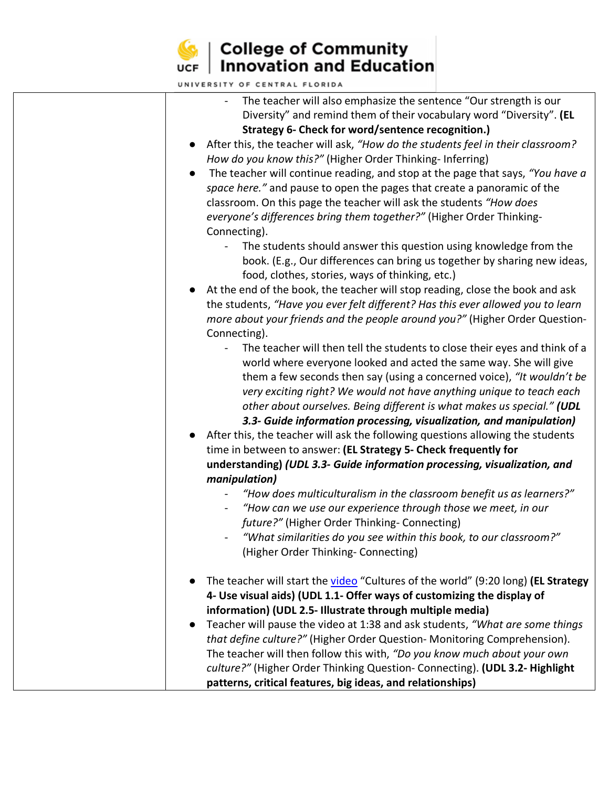

l

### $\left|\frac{1}{\sqrt{2}}\right|$  College of Community<br>UCF | Innovation and Education

| The teacher will also emphasize the sentence "Our strength is our                           |
|---------------------------------------------------------------------------------------------|
| Diversity" and remind them of their vocabulary word "Diversity". (EL                        |
| Strategy 6- Check for word/sentence recognition.)                                           |
| After this, the teacher will ask, "How do the students feel in their classroom?             |
| How do you know this?" (Higher Order Thinking-Inferring)                                    |
| The teacher will continue reading, and stop at the page that says, "You have a<br>$\bullet$ |
| space here." and pause to open the pages that create a panoramic of the                     |
| classroom. On this page the teacher will ask the students "How does                         |
| everyone's differences bring them together?" (Higher Order Thinking-                        |
| Connecting).                                                                                |
| The students should answer this question using knowledge from the                           |
| book. (E.g., Our differences can bring us together by sharing new ideas,                    |
| food, clothes, stories, ways of thinking, etc.)                                             |
| At the end of the book, the teacher will stop reading, close the book and ask               |
| the students, "Have you ever felt different? Has this ever allowed you to learn             |
| more about your friends and the people around you?" (Higher Order Question-                 |
| Connecting).                                                                                |
| The teacher will then tell the students to close their eyes and think of a                  |
| world where everyone looked and acted the same way. She will give                           |
| them a few seconds then say (using a concerned voice), "It wouldn't be                      |
| very exciting right? We would not have anything unique to teach each                        |
| other about ourselves. Being different is what makes us special." (UDL                      |
| 3.3- Guide information processing, visualization, and manipulation)                         |
| After this, the teacher will ask the following questions allowing the students<br>$\bullet$ |
| time in between to answer: (EL Strategy 5- Check frequently for                             |
| understanding) (UDL 3.3- Guide information processing, visualization, and                   |
| manipulation)                                                                               |
| "How does multiculturalism in the classroom benefit us as learners?"                        |
| "How can we use our experience through those we meet, in our                                |
| future?" (Higher Order Thinking- Connecting)                                                |
| "What similarities do you see within this book, to our classroom?"                          |
| (Higher Order Thinking- Connecting)                                                         |
|                                                                                             |
| The teacher will start the video "Cultures of the world" (9:20 long) (EL Strategy           |
| 4- Use visual aids) (UDL 1.1- Offer ways of customizing the display of                      |
| information) (UDL 2.5- Illustrate through multiple media)                                   |
| Teacher will pause the video at 1:38 and ask students, "What are some things                |
| that define culture?" (Higher Order Question- Monitoring Comprehension).                    |
| The teacher will then follow this with, "Do you know much about your own                    |
| culture?" (Higher Order Thinking Question- Connecting). (UDL 3.2- Highlight                 |
| patterns, critical features, big ideas, and relationships)                                  |
|                                                                                             |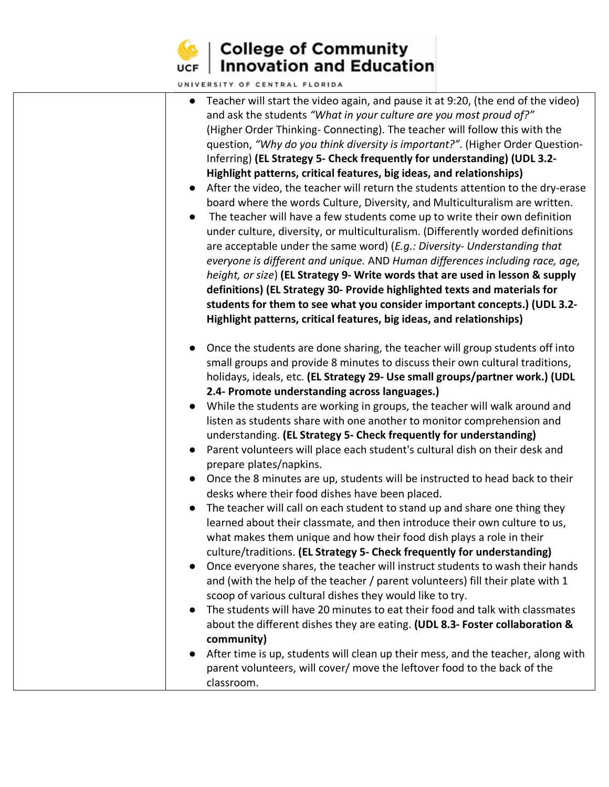

### $\left|\frac{1}{\sqrt{2}}\right|$  College of Community<br>UCF | Innovation and Education

| and ask the students "What in your culture are you most proud of?"<br>(Higher Order Thinking- Connecting). The teacher will follow this with the<br>Inferring) (EL Strategy 5- Check frequently for understanding) (UDL 3.2-<br>Highlight patterns, critical features, big ideas, and relationships)<br>The teacher will have a few students come up to write their own definition<br>are acceptable under the same word) (E.g.: Diversity- Understanding that<br>definitions) (EL Strategy 30- Provide highlighted texts and materials for<br>Highlight patterns, critical features, big ideas, and relationships)<br>small groups and provide 8 minutes to discuss their own cultural traditions,<br>2.4- Promote understanding across languages.)<br>While the students are working in groups, the teacher will walk around and<br>listen as students share with one another to monitor comprehension and<br>understanding. (EL Strategy 5- Check frequently for understanding)<br>Parent volunteers will place each student's cultural dish on their desk and<br>prepare plates/napkins.<br>desks where their food dishes have been placed.<br>The teacher will call on each student to stand up and share one thing they<br>learned about their classmate, and then introduce their own culture to us,<br>what makes them unique and how their food dish plays a role in their<br>culture/traditions. (EL Strategy 5- Check frequently for understanding)<br>and (with the help of the teacher / parent volunteers) fill their plate with 1<br>scoop of various cultural dishes they would like to try.<br>$\bullet$<br>community) | UNIVERSITY OF CENTRAL FLORIDA                                                                                                                                                                                                                                                                                                                                                                                                                                                                                                                                                                                                                                        |
|-----------------------------------------------------------------------------------------------------------------------------------------------------------------------------------------------------------------------------------------------------------------------------------------------------------------------------------------------------------------------------------------------------------------------------------------------------------------------------------------------------------------------------------------------------------------------------------------------------------------------------------------------------------------------------------------------------------------------------------------------------------------------------------------------------------------------------------------------------------------------------------------------------------------------------------------------------------------------------------------------------------------------------------------------------------------------------------------------------------------------------------------------------------------------------------------------------------------------------------------------------------------------------------------------------------------------------------------------------------------------------------------------------------------------------------------------------------------------------------------------------------------------------------------------------------------------------------------------------------------------------------------|----------------------------------------------------------------------------------------------------------------------------------------------------------------------------------------------------------------------------------------------------------------------------------------------------------------------------------------------------------------------------------------------------------------------------------------------------------------------------------------------------------------------------------------------------------------------------------------------------------------------------------------------------------------------|
|                                                                                                                                                                                                                                                                                                                                                                                                                                                                                                                                                                                                                                                                                                                                                                                                                                                                                                                                                                                                                                                                                                                                                                                                                                                                                                                                                                                                                                                                                                                                                                                                                                         | Teacher will start the video again, and pause it at 9:20, (the end of the video)<br>question, "Why do you think diversity is important?". (Higher Order Question-<br>After the video, the teacher will return the students attention to the dry-erase<br>board where the words Culture, Diversity, and Multiculturalism are written.<br>under culture, diversity, or multiculturalism. (Differently worded definitions<br>everyone is different and unique. AND Human differences including race, age,<br>height, or size) (EL Strategy 9- Write words that are used in lesson & supply<br>students for them to see what you consider important concepts.) (UDL 3.2- |
| classroom.                                                                                                                                                                                                                                                                                                                                                                                                                                                                                                                                                                                                                                                                                                                                                                                                                                                                                                                                                                                                                                                                                                                                                                                                                                                                                                                                                                                                                                                                                                                                                                                                                              | Once the students are done sharing, the teacher will group students off into<br>holidays, ideals, etc. (EL Strategy 29- Use small groups/partner work.) (UDL<br>Once the 8 minutes are up, students will be instructed to head back to their<br>Once everyone shares, the teacher will instruct students to wash their hands<br>The students will have 20 minutes to eat their food and talk with classmates<br>about the different dishes they are eating. (UDL 8.3- Foster collaboration &<br>After time is up, students will clean up their mess, and the teacher, along with<br>parent volunteers, will cover/ move the leftover food to the back of the         |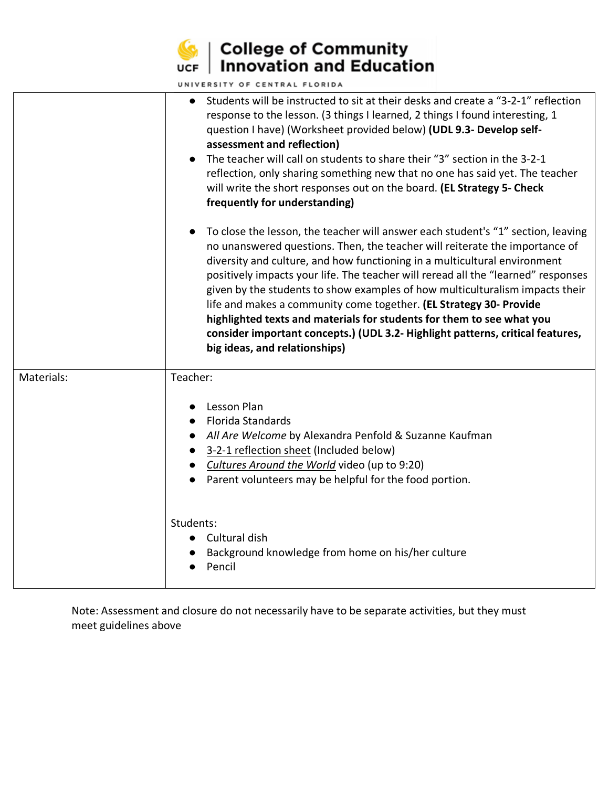

#### **College of Community**<br>UCF | Innovation and Education

UNIVERSITY OF CENTRAL FLORIDA

|            | UNIVERSITT OF CENTRAL FLORIDA                                                                                                                                                                                                                                                                                                                                                                                                                                                                                                                                                                                                                                                                                                                                                                                                                                                                                                                                                                                                                                                                                                                                                                                                                      |
|------------|----------------------------------------------------------------------------------------------------------------------------------------------------------------------------------------------------------------------------------------------------------------------------------------------------------------------------------------------------------------------------------------------------------------------------------------------------------------------------------------------------------------------------------------------------------------------------------------------------------------------------------------------------------------------------------------------------------------------------------------------------------------------------------------------------------------------------------------------------------------------------------------------------------------------------------------------------------------------------------------------------------------------------------------------------------------------------------------------------------------------------------------------------------------------------------------------------------------------------------------------------|
|            | Students will be instructed to sit at their desks and create a "3-2-1" reflection<br>$\bullet$<br>response to the lesson. (3 things I learned, 2 things I found interesting, 1<br>question I have) (Worksheet provided below) (UDL 9.3- Develop self-<br>assessment and reflection)<br>The teacher will call on students to share their "3" section in the 3-2-1<br>reflection, only sharing something new that no one has said yet. The teacher<br>will write the short responses out on the board. (EL Strategy 5- Check<br>frequently for understanding)<br>To close the lesson, the teacher will answer each student's "1" section, leaving<br>no unanswered questions. Then, the teacher will reiterate the importance of<br>diversity and culture, and how functioning in a multicultural environment<br>positively impacts your life. The teacher will reread all the "learned" responses<br>given by the students to show examples of how multiculturalism impacts their<br>life and makes a community come together. (EL Strategy 30- Provide<br>highlighted texts and materials for students for them to see what you<br>consider important concepts.) (UDL 3.2- Highlight patterns, critical features,<br>big ideas, and relationships) |
| Materials: | Teacher:<br>Lesson Plan<br>Florida Standards<br>All Are Welcome by Alexandra Penfold & Suzanne Kaufman<br>3-2-1 reflection sheet (Included below)<br>Cultures Around the World video (up to 9:20)<br>Parent volunteers may be helpful for the food portion.                                                                                                                                                                                                                                                                                                                                                                                                                                                                                                                                                                                                                                                                                                                                                                                                                                                                                                                                                                                        |
|            | Students:<br>Cultural dish<br>$\bullet$<br>Background knowledge from home on his/her culture<br>Pencil                                                                                                                                                                                                                                                                                                                                                                                                                                                                                                                                                                                                                                                                                                                                                                                                                                                                                                                                                                                                                                                                                                                                             |

Note: Assessment and closure do not necessarily have to be separate activities, but they must meet guidelines above